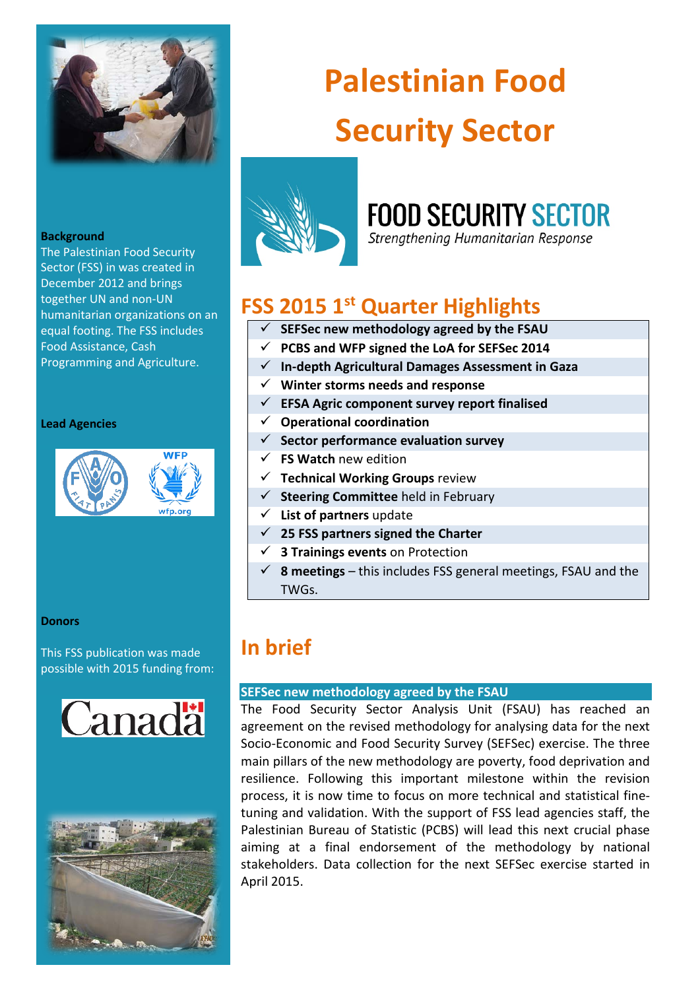

#### **Background**

The Palestinian Food Security Sector (FSS) in was created in December 2012 and brings together UN and non-UN humanitarian organizations on an equal footing. The FSS includes Food Assistance, Cash Programming and Agriculture.

#### **Lead Agencies**



#### **Donors**

This FSS publication was made possible with 2015 funding from:





# **Palestinian Food Security Sector**



# **FOOD SECURITY SECTOR**

Strengthening Humanitarian Response

# **FSS 2015 1st Quarter Highlights**

- **SEFSec new methodology agreed by the FSAU**
- **PCBS and WFP signed the LoA for SEFSec 2014**
- **In-depth Agricultural Damages Assessment in Gaza**
- **Winter storms needs and response**
- **EFSA Agric component survey report finalised**
- **Operational coordination**
- **Sector performance evaluation survey**
- **FS Watch** new edition
- **Technical Working Groups** review
- **Steering Committee** held in February
- **List of partners** update
- **25 FSS partners signed the Charter**
- **3 Trainings events** on Protection
- $\checkmark$  **8 meetings** this includes FSS general meetings, FSAU and the TWGs.

# **In brief**

## **SEFSec new methodology agreed by the FSAU**

The Food Security Sector Analysis Unit (FSAU) has reached an agreement on the revised methodology for analysing data for the next Socio-Economic and Food Security Survey (SEFSec) exercise. The three main pillars of the new methodology are poverty, food deprivation and resilience. Following this important milestone within the revision process, it is now time to focus on more technical and statistical finetuning and validation. With the support of FSS lead agencies staff, the Palestinian Bureau of Statistic (PCBS) will lead this next crucial phase aiming at a final endorsement of the methodology by national stakeholders. Data collection for the next SEFSec exercise started in April 2015.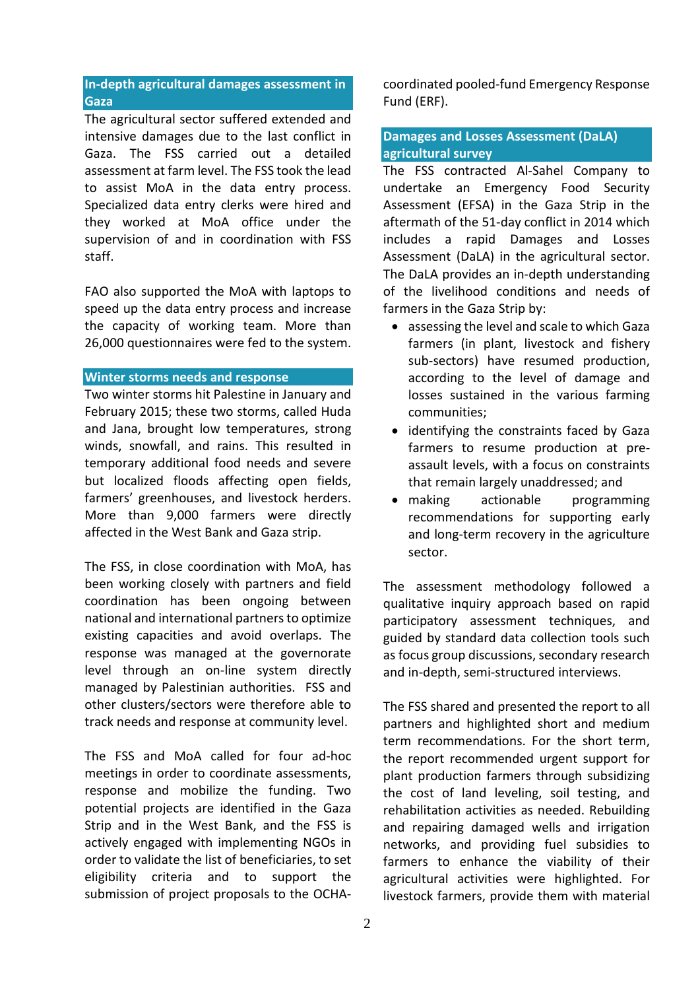# **In-depth agricultural damages assessment in Gaza**

The agricultural sector suffered extended and intensive damages due to the last conflict in Gaza. The FSS carried out a detailed assessment at farm level. The FSS took the lead to assist MoA in the data entry process. Specialized data entry clerks were hired and they worked at MoA office under the supervision of and in coordination with FSS staff.

FAO also supported the MoA with laptops to speed up the data entry process and increase the capacity of working team. More than 26,000 questionnaires were fed to the system.

## **Winter storms needs and response**

Two winter storms hit Palestine in January and February 2015; these two storms, called Huda and Jana, brought low temperatures, strong winds, snowfall, and rains. This resulted in temporary additional food needs and severe but localized floods affecting open fields, farmers' greenhouses, and livestock herders. More than 9,000 farmers were directly affected in the West Bank and Gaza strip.

The FSS, in close coordination with MoA, has been working closely with partners and field coordination has been ongoing between national and international partners to optimize existing capacities and avoid overlaps. The response was managed at the governorate level through an on-line system directly managed by Palestinian authorities. FSS and other clusters/sectors were therefore able to track needs and response at community level.

The FSS and MoA called for four ad-hoc meetings in order to coordinate assessments, response and mobilize the funding. Two potential projects are identified in the Gaza Strip and in the West Bank, and the FSS is actively engaged with implementing NGOs in order to validate the list of beneficiaries, to set eligibility criteria and to support the submission of project proposals to the OCHA-

coordinated pooled-fund Emergency Response Fund (ERF).

# **Damages and Losses Assessment (DaLA) agricultural survey**

The FSS contracted Al-Sahel Company to undertake an Emergency Food Security Assessment (EFSA) in the Gaza Strip in the aftermath of the 51-day conflict in 2014 which includes a rapid Damages and Losses Assessment (DaLA) in the agricultural sector. The DaLA provides an in-depth understanding of the livelihood conditions and needs of farmers in the Gaza Strip by:

- assessing the level and scale to which Gaza farmers (in plant, livestock and fishery sub-sectors) have resumed production, according to the level of damage and losses sustained in the various farming communities;
- identifying the constraints faced by Gaza farmers to resume production at preassault levels, with a focus on constraints that remain largely unaddressed; and
- making actionable programming recommendations for supporting early and long-term recovery in the agriculture sector.

The assessment methodology followed a qualitative inquiry approach based on rapid participatory assessment techniques, and guided by standard data collection tools such as focus group discussions, secondary research and in-depth, semi-structured interviews.

The FSS shared and presented the report to all partners and highlighted short and medium term recommendations. For the short term, the report recommended urgent support for plant production farmers through subsidizing the cost of land leveling, soil testing, and rehabilitation activities as needed. Rebuilding and repairing damaged wells and irrigation networks, and providing fuel subsidies to farmers to enhance the viability of their agricultural activities were highlighted. For livestock farmers, provide them with material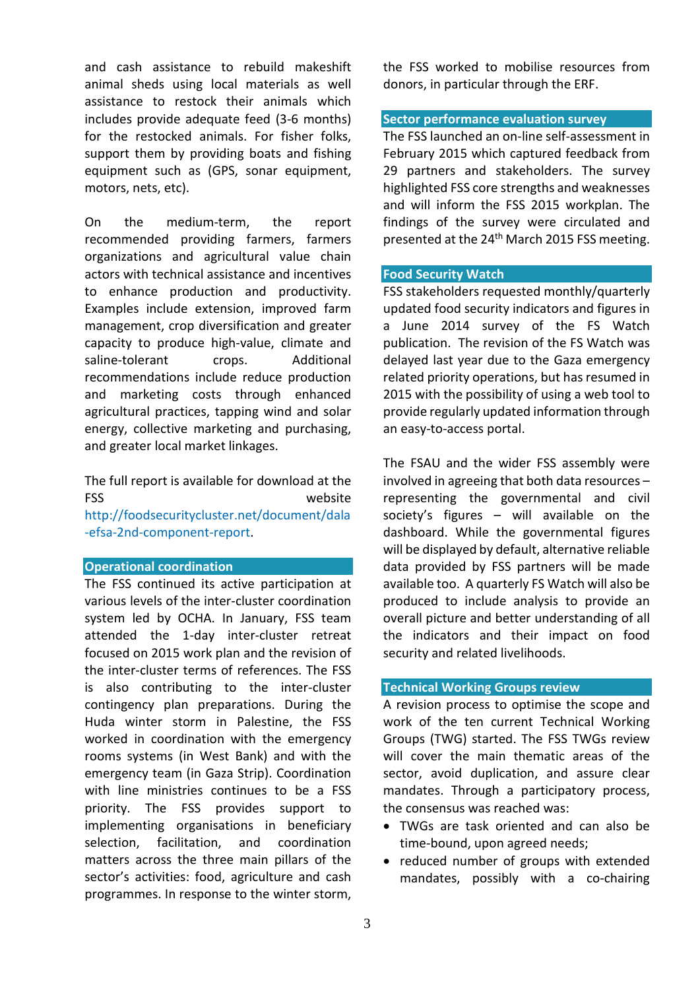and cash assistance to rebuild makeshift animal sheds using local materials as well assistance to restock their animals which includes provide adequate feed (3-6 months) for the restocked animals. For fisher folks, support them by providing boats and fishing equipment such as (GPS, sonar equipment, motors, nets, etc).

On the medium-term, the report recommended providing farmers, farmers organizations and agricultural value chain actors with technical assistance and incentives to enhance production and productivity. Examples include extension, improved farm management, crop diversification and greater capacity to produce high-value, climate and saline-tolerant crops. Additional recommendations include reduce production and marketing costs through enhanced agricultural practices, tapping wind and solar energy, collective marketing and purchasing, and greater local market linkages.

The full report is available for download at the FSS website [http://foodsecuritycluster.net/document/dala](http://foodsecuritycluster.net/document/dala-efsa-2nd-component-report) [-efsa-2nd-component-report.](http://foodsecuritycluster.net/document/dala-efsa-2nd-component-report)

### **Operational coordination**

The FSS continued its active participation at various levels of the inter-cluster coordination system led by OCHA. In January, FSS team attended the 1-day inter-cluster retreat focused on 2015 work plan and the revision of the inter-cluster terms of references. The FSS is also contributing to the inter-cluster contingency plan preparations. During the Huda winter storm in Palestine, the FSS worked in coordination with the emergency rooms systems (in West Bank) and with the emergency team (in Gaza Strip). Coordination with line ministries continues to be a FSS priority. The FSS provides support to implementing organisations in beneficiary selection, facilitation, and coordination matters across the three main pillars of the sector's activities: food, agriculture and cash programmes. In response to the winter storm, the FSS worked to mobilise resources from donors, in particular through the ERF.

### **Sector performance evaluation survey**

The FSS launched an on-line self-assessment in February 2015 which captured feedback from 29 partners and stakeholders. The survey highlighted FSS core strengths and weaknesses and will inform the FSS 2015 workplan. The findings of the survey were circulated and presented at the 24<sup>th</sup> March 2015 FSS meeting.

#### **Food Security Watch**

FSS stakeholders requested monthly/quarterly updated food security indicators and figures in a June 2014 survey of the FS Watch publication. The revision of the FS Watch was delayed last year due to the Gaza emergency related priority operations, but has resumed in 2015 with the possibility of using a web tool to provide regularly updated information through an easy-to-access portal.

The FSAU and the wider FSS assembly were involved in agreeing that both data resources – representing the governmental and civil society's figures – will available on the dashboard. While the governmental figures will be displayed by default, alternative reliable data provided by FSS partners will be made available too. A quarterly FS Watch will also be produced to include analysis to provide an overall picture and better understanding of all the indicators and their impact on food security and related livelihoods.

# **Technical Working Groups review**

A revision process to optimise the scope and work of the ten current Technical Working Groups (TWG) started. The FSS TWGs review will cover the main thematic areas of the sector, avoid duplication, and assure clear mandates. Through a participatory process, the consensus was reached was:

- TWGs are task oriented and can also be time-bound, upon agreed needs;
- reduced number of groups with extended mandates, possibly with a co-chairing